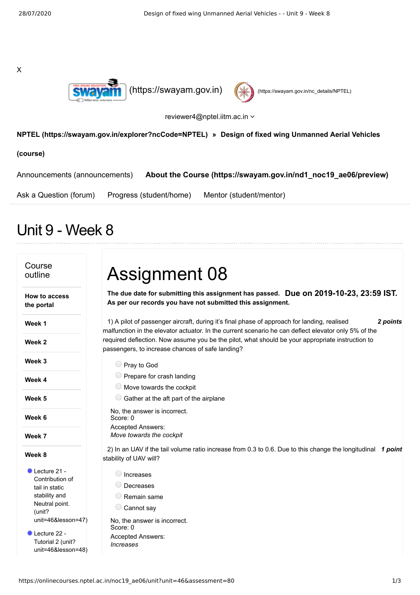X





reviewer4@nptel.iitm.ac.in  $\sim$ 

## **[NPTEL \(https://swayam.gov.in/explorer?ncCode=NPTEL\)](https://swayam.gov.in/explorer?ncCode=NPTEL) » Design of fixed wing Unmanned Aerial Vehicles**

**(course)**

[Announcements \(announcements\)](https://onlinecourses.nptel.ac.in/noc19_ae06/announcements) **[About the Course \(https://swayam.gov.in/nd1\\_noc19\\_ae06/preview\)](https://swayam.gov.in/nd1_noc19_ae06/preview)**

[Ask a Question \(forum\)](https://onlinecourses.nptel.ac.in/noc19_ae06/forum) [Progress \(student/home\)](https://onlinecourses.nptel.ac.in/noc19_ae06/student/home) [Mentor \(student/mentor\)](https://onlinecourses.nptel.ac.in/noc19_ae06/student/mentor)

## Unit 9 - Week 8

## Course outline **How to access the portal Week 1 Week 2 Week 3 Week 4 Week 5 Week 6 Week 7 Week 8** Lecture 21 -Contribution of tail in static stability and Neutral point. (unit? [unit=46&lesson=47\)](https://onlinecourses.nptel.ac.in/noc19_ae06/unit?unit=46&lesson=47) Lecture 22 -Tutorial 2 (unit? [unit=46&lesson=48\)](https://onlinecourses.nptel.ac.in/noc19_ae06/unit?unit=46&lesson=48) **Due on 2019-10-23, 23:59 IST. The due date for submitting this assignment has passed.** 1) *2 points* A pilot of passenger aircraft, during it's final phase of approach for landing, realised 2) In an UAV if the tail volume ratio increase from 0.3 to 0.6. Due to this change the longitudinal 1 point Assignment 08 **As per our records you have not submitted this assignment.** malfunction in the elevator actuator. In the current scenario he can deflect elevator only 5% of the required deflection. Now assume you be the pilot, what should be your appropriate instruction to passengers, to increase chances of safe landing? Pray to God  $\bigcirc$  Prepare for crash landing  $\bigcirc$  Move towards the cockpit  $\bigcirc$  Gather at the aft part of the airplane No, the answer is incorrect. Score: 0 Accepted Answers: *Move towards the cockpit* stability of UAV will? O Increases Decreases Remain same C Cannot say No, the answer is incorrect. Score: 0 Accepted Answers: *Increases*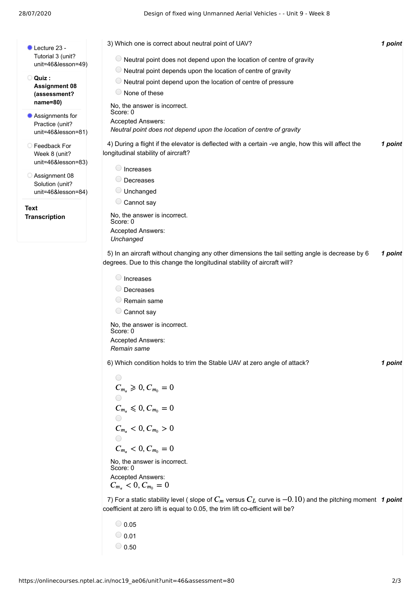**Quiz :**

**Text**

- **Transcription** Lecture 23 -Tutorial 3 (unit? [unit=46&lesson=49\)](https://onlinecourses.nptel.ac.in/noc19_ae06/unit?unit=46&lesson=49) **Assignment 08 [\(assessment?](https://onlinecourses.nptel.ac.in/noc19_ae06/assessment?name=80) name=80)** Assignments for Practice (unit? [unit=46&lesson=81\)](https://onlinecourses.nptel.ac.in/noc19_ae06/unit?unit=46&lesson=81) Feedback For Week 8 (unit? [unit=46&lesson=83\)](https://onlinecourses.nptel.ac.in/noc19_ae06/unit?unit=46&lesson=83) Assignment 08 Solution (unit? [unit=46&lesson=84\)](https://onlinecourses.nptel.ac.in/noc19_ae06/unit?unit=46&lesson=84) 3) *1 point* Which one is correct about neutral point of UAV? 4) During a flight if the elevator is deflected with a certain -ve angle, how this will affect the **1 point** 5) In an aircraft without changing any other dimensions the tail setting angle is decrease by 6 **1 point** 6) *1 point* Which condition holds to trim the Stable UAV at zero angle of attack? Score: 0<br>
Accepted Answers:<br>  $C_{m_{\alpha}} < 0, C_{m_0} = 0$ <br>
7) For a static stability level ( slope of  $C_m$  versus  $C_L$  curve is  $-0.10$ ) and the pitching moment 1 point  $\bigcirc$  Neutral point does not depend upon the location of centre of gravity  $\bigcirc$  Neutral point depends upon the location of centre of gravity  $\bigcirc$  Neutral point depend upon the location of centre of pressure None of these No, the answer is incorrect. Score: 0 Accepted Answers: *Neutral point does not depend upon the location of centre of gravity* longitudinal stability of aircraft? O Increases Decreases Unchanged Cannot say No, the answer is incorrect. Score: 0 Accepted Answers: *Unchanged* degrees. Due to this change the longitudinal stability of aircraft will? O Increases O Decreases Remain same C Cannot say No, the answer is incorrect. Score: 0 Accepted Answers: *Remain same* No, the answer is incorrect. Score: 0 Accepted Answers: coefficient at zero lift is equal to 0.05, the trim lift co-efficient will be?  $C_{m_{\alpha}} \ge 0, C_{m_0} = 0$  $C_{m_{\alpha}} \le 0, C_{m_0} = 0$  $C_{m_{\alpha}} < 0, C_{m_0} > 0$  $C_{m_{\alpha}} < 0, C_{m_0} = 0$  $C_{m_{\infty}} < 0, C_{m_{\infty}} = 0$ 
	- $\bigcirc$  0.05  $\bigcirc$  0.01  $\bigcirc$  0.50